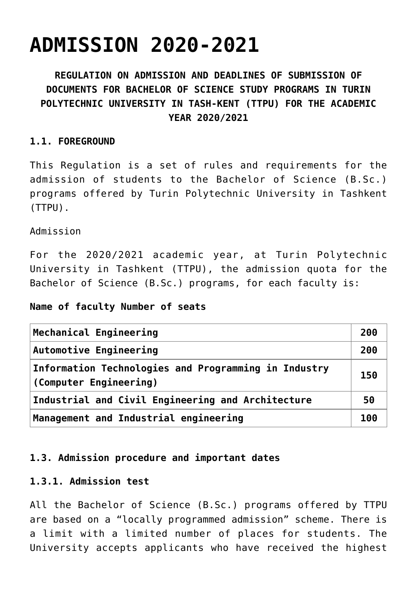# **[ADMISSION 2020-2021](https://polito.uz/8906/)**

# **REGULATION ON ADMISSION AND DEADLINES OF SUBMISSION OF DOCUMENTS FOR BACHELOR OF SCIENCE STUDY PROGRAMS IN TURIN POLYTECHNIC UNIVERSITY IN TASH-KENT (TTPU) FOR THE ACADEMIC YEAR 2020/2021**

#### **1.1. FOREGROUND**

This Regulation is a set of rules and requirements for the admission of students to the Bachelor of Science (B.Sc.) programs offered by Turin Polytechnic University in Tashkent (TTPU).

Admission

For the 2020/2021 academic year, at Turin Polytechnic University in Tashkent (TTPU), the admission quota for the Bachelor of Science (B.Sc.) programs, for each faculty is:

#### **Name of faculty Number of seats**

| Mechanical Engineering                                                                | 200 |
|---------------------------------------------------------------------------------------|-----|
| <b>Automotive Engineering</b>                                                         | 200 |
| Information Technologies and Programming in Industry<br>150<br>(Computer Engineering) |     |
| Industrial and Civil Engineering and Architecture                                     | 50  |
| Management and Industrial engineering                                                 | 100 |

### **1.3. Admission procedure and important dates**

#### **1.3.1. Admission test**

All the Bachelor of Science (B.Sc.) programs offered by TTPU are based on a "locally programmed admission" scheme. There is a limit with a limited number of places for students. The University accepts applicants who have received the highest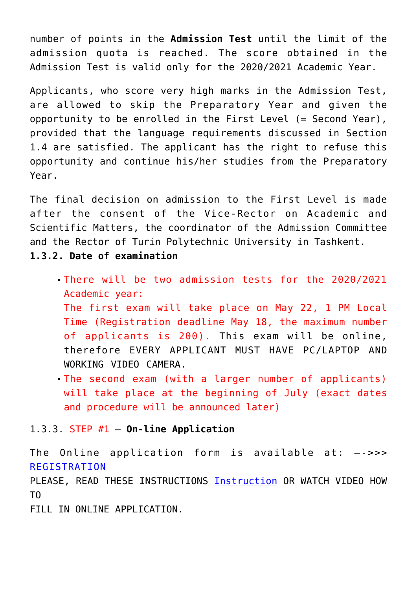number of points in the **Admission Test** until the limit of the admission quota is reached. The score obtained in the Admission Test is valid only for the 2020/2021 Academic Year.

Applicants, who score very high marks in the Admission Test, are allowed to skip the Preparatory Year and given the opportunity to be enrolled in the First Level (= Second Year), provided that the language requirements discussed in Section 1.4 are satisfied. The applicant has the right to refuse this opportunity and continue his/her studies from the Preparatory Year.

The final decision on admission to the First Level is made after the consent of the Vice-Rector on Academic and Scientific Matters, the coordinator of the Admission Committee and the Rector of Turin Polytechnic University in Tashkent.

**1.3.2. Date of examination**

- There will be two admission tests for the 2020/2021 Academic year: The first exam will take place on May 22, 1 PM Local Time (Registration deadline May 18, the maximum number of applicants is 200). This exam will be online, therefore EVERY APPLICANT MUST HAVE PC/LAPTOP AND WORKING VIDEO CAMERA.
- The second exam (with a larger number of applicants) will take place at the beginning of July (exact dates and procedure will be announced later)

#### 1.3.3. STEP #1 – **On-line Application**

The Online application form is available at: —->>> [REGISTRATION](https://didattica.polito.it/pls/portal30/sviluppo.pkg_apply.login?p_lang=EN)

PLEASE, READ THESE INSTRUCTIONS **[Instruction](http://new.polito.uz/wp-content/uploads/Manual_ENG.pdf)** OR WATCH VIDEO HOW TO

FILL IN ONLINE APPLICATION.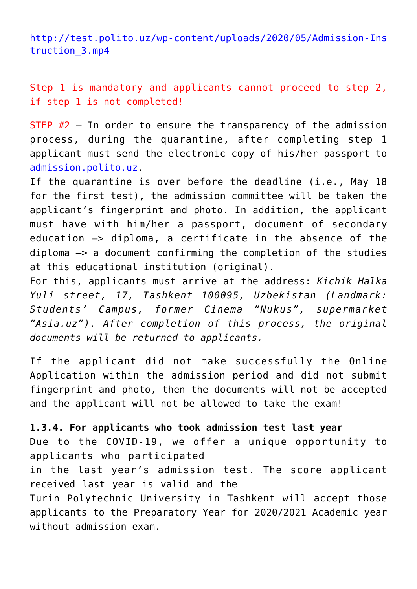[http://test.polito.uz/wp-content/uploads/2020/05/Admission-Ins](http://test.polito.uz/wp-content/uploads/2020/05/Admission-Instruction_3.mp4) [truction\\_3.mp4](http://test.polito.uz/wp-content/uploads/2020/05/Admission-Instruction_3.mp4)

Step 1 is mandatory and applicants cannot proceed to step 2, if step 1 is not completed!

STEP #2 – In order to ensure the transparency of the admission process, during the quarantine, after completing step 1 applicant must send the electronic copy of his/her passport to [admission.polito.uz.](http://admission.polito.uz)

If the quarantine is over before the deadline (i.e., May 18 for the first test), the admission committee will be taken the applicant's fingerprint and photo. In addition, the applicant must have with him/her a passport, document of secondary education —> diploma, a certificate in the absence of the diploma —> a document confirming the completion of the studies at this educational institution (original).

For this, applicants must arrive at the address: *Kichik Halka Yuli street, 17, Tashkent 100095, Uzbekistan (Landmark: Students' Campus, former Cinema "Nukus", supermarket "Asia.uz"). After completion of this process, the original documents will be returned to applicants.*

If the applicant did not make successfully the Online Application within the admission period and did not submit fingerprint and photo, then the documents will not be accepted and the applicant will not be allowed to take the exam!

**1.3.4. For applicants who took admission test last year** Due to the COVID-19, we offer a unique opportunity to applicants who participated in the last year's admission test. The score applicant received last year is valid and the Turin Polytechnic University in Tashkent will accept those applicants to the Preparatory Year for 2020/2021 Academic year without admission exam.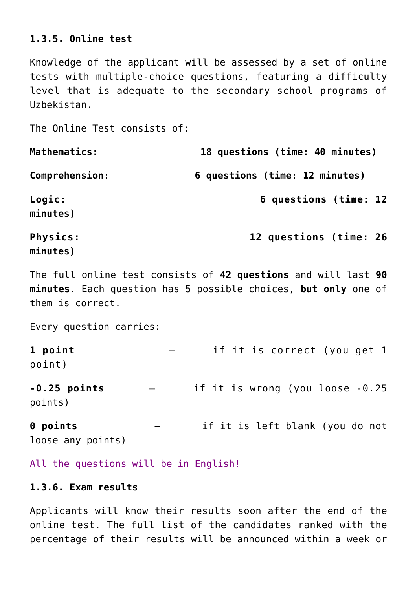#### **1.3.5. Online test**

Knowledge of the applicant will be assessed by a set of online tests with multiple-choice questions, featuring a difficulty level that is adequate to the secondary school programs of Uzbekistan.

The Online Test consists of:

| Mathematics:         | 18 questions (time: 40 minutes) |  |
|----------------------|---------------------------------|--|
| Comprehension:       | 6 questions (time: 12 minutes)  |  |
| Logic:<br>minutes)   | 6 questions (time: 12           |  |
| Physics:<br>minutes) | 12 questions (time: 26          |  |

The full online test consists of **42 questions** and will last **90 minutes**. Each question has 5 possible choices, **but only** one of them is correct.

Every question carries:

**1 point** – if it is correct (you get 1 point)

**-0.25 points** – if it is wrong (you loose -0.25 points)

**0 points** – if it is left blank (you do not loose any points)

All the questions will be in English!

#### **1.3.6. Exam results**

Applicants will know their results soon after the end of the online test. The full list of the candidates ranked with the percentage of their results will be announced within a week or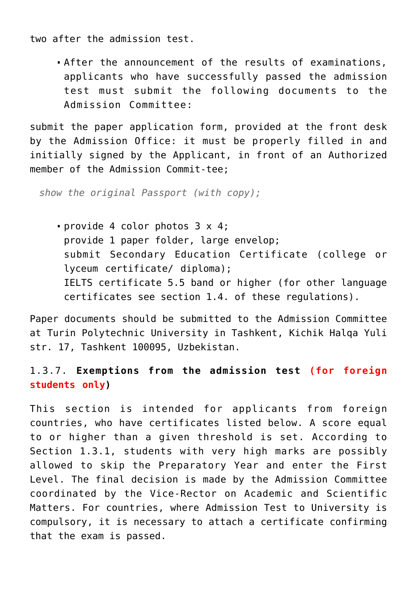two after the admission test.

After the announcement of the results of examinations, applicants who have successfully passed the admission test must submit the following documents to the Admission Committee:

submit the paper application form, provided at the front desk by the Admission Office: it must be properly filled in and initially signed by the Applicant, in front of an Authorized member of the Admission Commit-tee;

*show the original Passport (with copy);*

provide 4 color photos 3 x 4; provide 1 paper folder, large envelop; submit Secondary Education Certificate (college or lyceum certificate/ diploma); IELTS certificate 5.5 band or higher (for other language certificates see section 1.4. of these regulations).

Paper documents should be submitted to the Admission Committee at Turin Polytechnic University in Tashkent, Kichik Halqa Yuli str. 17, Tashkent 100095, Uzbekistan.

## 1.3.7. **Exemptions from the admission test (for foreign students only)**

This section is intended for applicants from foreign countries, who have certificates listed below. A score equal to or higher than a given threshold is set. According to Section 1.3.1, students with very high marks are possibly allowed to skip the Preparatory Year and enter the First Level. The final decision is made by the Admission Committee coordinated by the Vice-Rector on Academic and Scientific Matters. For countries, where Admission Test to University is compulsory, it is necessary to attach a certificate confirming that the exam is passed.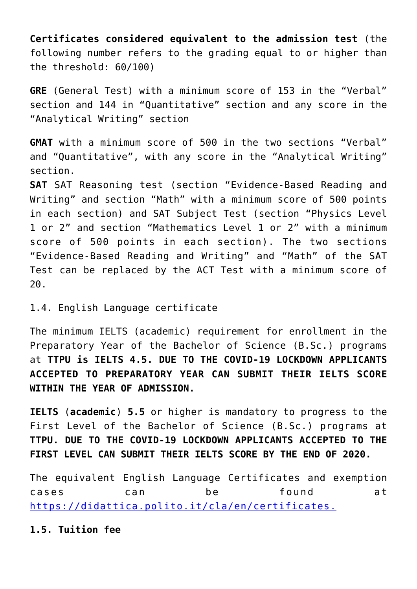**Certificates considered equivalent to the admission test** (the following number refers to the grading equal to or higher than the threshold: 60/100)

**GRE** (General Test) with a minimum score of 153 in the "Verbal" section and 144 in "Quantitative" section and any score in the "Analytical Writing" section

**GMAT** with a minimum score of 500 in the two sections "Verbal" and "Quantitative", with any score in the "Analytical Writing" section.

**SAT** SAT Reasoning test (section "Evidence-Based Reading and Writing" and section "Math" with a minimum score of 500 points in each section) and SAT Subject Test (section "Physics Level 1 or 2" and section "Mathematics Level 1 or 2" with a minimum score of 500 points in each section). The two sections "Evidence-Based Reading and Writing" and "Math" of the SAT Test can be replaced by the ACT Test with a minimum score of 20.

1.4. English Language certificate

The minimum IELTS (academic) requirement for enrollment in the Preparatory Year of the Bachelor of Science (B.Sc.) programs at **TTPU is IELTS 4.5. DUE TO THE COVID-19 LOCKDOWN APPLICANTS ACCEPTED TO PREPARATORY YEAR CAN SUBMIT THEIR IELTS SCORE WITHIN THE YEAR OF ADMISSION.**

**IELTS** (**academic**) **5.5** or higher is mandatory to progress to the First Level of the Bachelor of Science (B.Sc.) programs at **TTPU. DUE TO THE COVID-19 LOCKDOWN APPLICANTS ACCEPTED TO THE FIRST LEVEL CAN SUBMIT THEIR IELTS SCORE BY THE END OF 2020.**

The equivalent English Language Certificates and exemption cases can be found at <https://didattica.polito.it/cla/en/certificates.>

**1.5. Tuition fee**